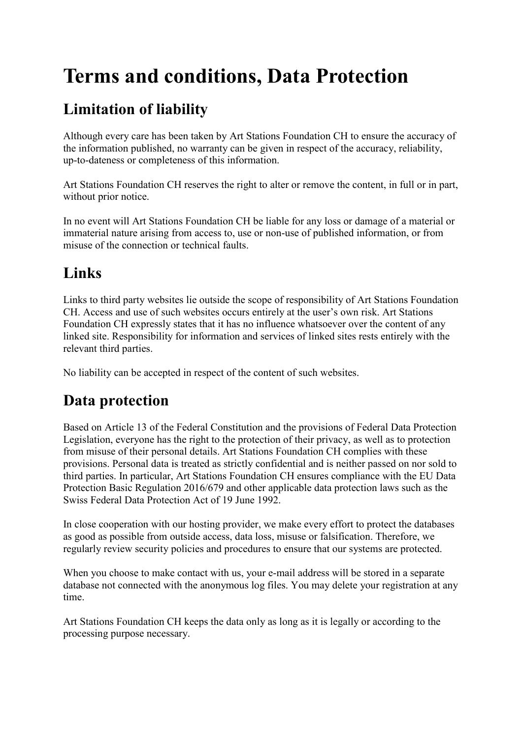# **Terms and conditions, Data Protection**

# **Limitation of liability**

Although every care has been taken by Art Stations Foundation CH to ensure the accuracy of the information published, no warranty can be given in respect of the accuracy, reliability, up-to-dateness or completeness of this information.

Art Stations Foundation CH reserves the right to alter or remove the content, in full or in part, without prior notice.

In no event will Art Stations Foundation CH be liable for any loss or damage of a material or immaterial nature arising from access to, use or non-use of published information, or from misuse of the connection or technical faults.

## **Links**

Links to third party websites lie outside the scope of responsibility of Art Stations Foundation CH. Access and use of such websites occurs entirely at the user's own risk. Art Stations Foundation CH expressly states that it has no influence whatsoever over the content of any linked site. Responsibility for information and services of linked sites rests entirely with the relevant third parties.

No liability can be accepted in respect of the content of such websites.

## **Data protection**

Based on Article 13 of the Federal Constitution and the provisions of Federal Data Protection Legislation, everyone has the right to the protection of their privacy, as well as to protection from misuse of their personal details. Art Stations Foundation CH complies with these provisions. Personal data is treated as strictly confidential and is neither passed on nor sold to third parties. In particular, Art Stations Foundation CH ensures compliance with the EU Data Protection Basic Regulation 2016/679 and other applicable data protection laws such as the Swiss Federal Data Protection Act of 19 June 1992.

In close cooperation with our hosting provider, we make every effort to protect the databases as good as possible from outside access, data loss, misuse or falsification. Therefore, we regularly review security policies and procedures to ensure that our systems are protected.

When you choose to make contact with us, your e-mail address will be stored in a separate database not connected with the anonymous log files. You may delete your registration at any time.

Art Stations Foundation CH keeps the data only as long as it is legally or according to the processing purpose necessary.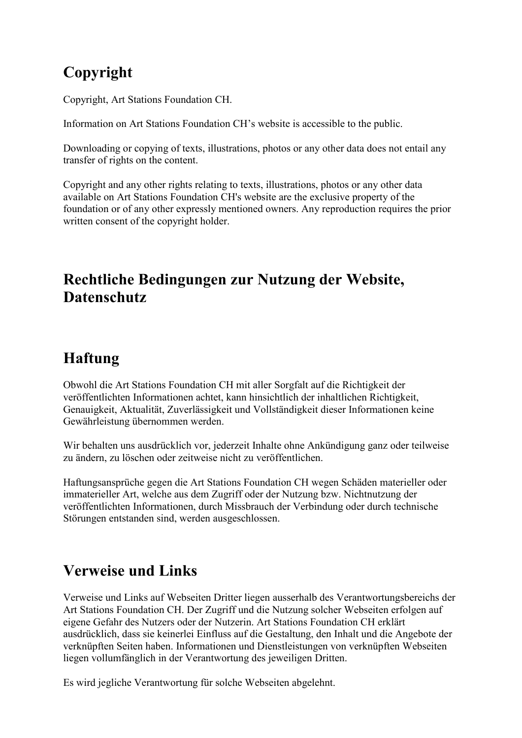# **Copyright**

Copyright, Art Stations Foundation CH.

Information on Art Stations Foundation CH's website is accessible to the public.

Downloading or copying of texts, illustrations, photos or any other data does not entail any transfer of rights on the content.

Copyright and any other rights relating to texts, illustrations, photos or any other data available on Art Stations Foundation CH's website are the exclusive property of the foundation or of any other expressly mentioned owners. Any reproduction requires the prior written consent of the copyright holder.

#### **Rechtliche Bedingungen zur Nutzung der Website, Datenschutz**

## **Haftung**

Obwohl die Art Stations Foundation CH mit aller Sorgfalt auf die Richtigkeit der veröffentlichten Informationen achtet, kann hinsichtlich der inhaltlichen Richtigkeit, Genauigkeit, Aktualität, Zuverlässigkeit und Vollständigkeit dieser Informationen keine Gewährleistung übernommen werden.

Wir behalten uns ausdrücklich vor, jederzeit Inhalte ohne Ankündigung ganz oder teilweise zu ändern, zu löschen oder zeitweise nicht zu veröffentlichen.

Haftungsansprüche gegen die Art Stations Foundation CH wegen Schäden materieller oder immaterieller Art, welche aus dem Zugriff oder der Nutzung bzw. Nichtnutzung der veröffentlichten Informationen, durch Missbrauch der Verbindung oder durch technische Störungen entstanden sind, werden ausgeschlossen.

#### **Verweise und Links**

Verweise und Links auf Webseiten Dritter liegen ausserhalb des Verantwortungsbereichs der Art Stations Foundation CH. Der Zugriff und die Nutzung solcher Webseiten erfolgen auf eigene Gefahr des Nutzers oder der Nutzerin. Art Stations Foundation CH erklärt ausdrücklich, dass sie keinerlei Einfluss auf die Gestaltung, den Inhalt und die Angebote der verknüpften Seiten haben. Informationen und Dienstleistungen von verknüpften Webseiten liegen vollumfänglich in der Verantwortung des jeweiligen Dritten.

Es wird jegliche Verantwortung für solche Webseiten abgelehnt.